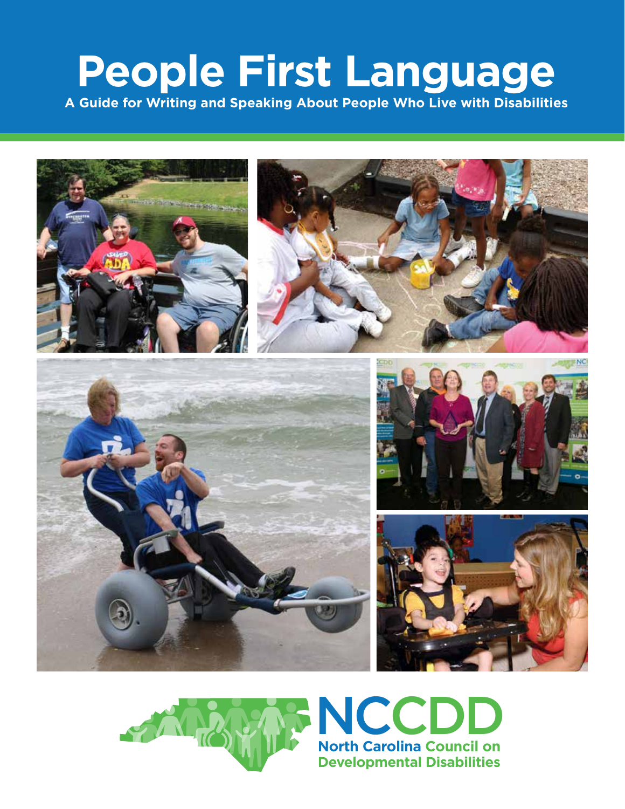# **People First Language**

**A Guide for Writing and Speaking About People Who Live with Disabilities**



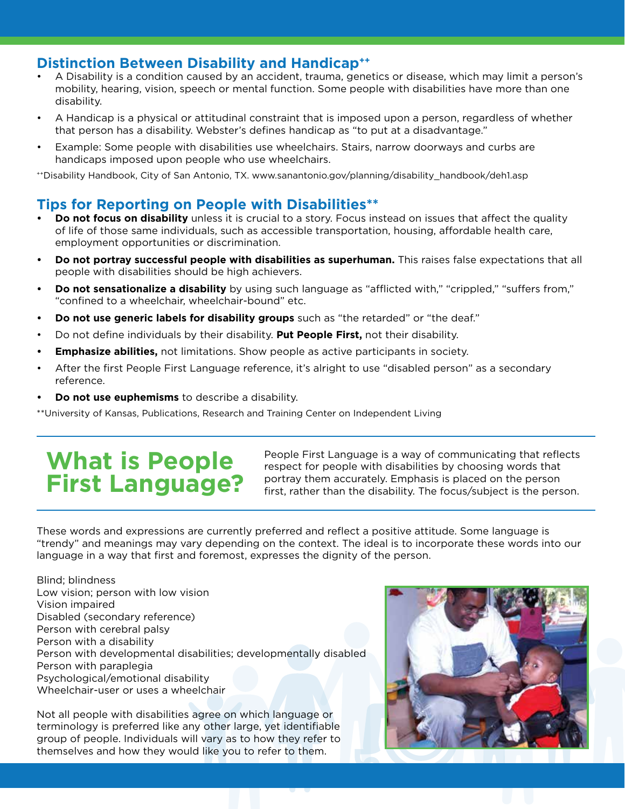### **Distinction Between Disability and Handicap<sup>++</sup>**

- A Disability is a condition caused by an accident, trauma, genetics or disease, which may limit a person's mobility, hearing, vision, speech or mental function. Some people with disabilities have more than one disability.
- A Handicap is a physical or attitudinal constraint that is imposed upon a person, regardless of whether that person has a disability. Webster's defines handicap as "to put at a disadvantage."
- Example: Some people with disabilities use wheelchairs. Stairs, narrow doorways and curbs are handicaps imposed upon people who use wheelchairs.

++Disability Handbook, City of San Antonio, TX. www.sanantonio.gov/planning/disability\_handbook/deh1.asp

## **Tips for Reporting on People with Disabilities\*\***

- **• Do not focus on disability** unless it is crucial to a story. Focus instead on issues that affect the quality of life of those same individuals, such as accessible transportation, housing, affordable health care, employment opportunities or discrimination.
- **• Do not portray successful people with disabilities as superhuman.** This raises false expectations that all people with disabilities should be high achievers.
- **• Do not sensationalize a disability** by using such language as "afflicted with," "crippled," "suffers from," "confined to a wheelchair, wheelchair-bound" etc.
- **• Do not use generic labels for disability groups** such as "the retarded" or "the deaf."
- Do not define individuals by their disability. **Put People First,** not their disability.
- **• Emphasize abilities,** not limitations. Show people as active participants in society.
- After the first People First Language reference, it's alright to use "disabled person" as a secondary reference.
- **• Do not use euphemisms** to describe a disability.

\*\*University of Kansas, Publications, Research and Training Center on Independent Living

# **What is People First Language?**

People First Language is a way of communicating that reflects respect for people with disabilities by choosing words that portray them accurately. Emphasis is placed on the person first, rather than the disability. The focus/subject is the person.

These words and expressions are currently preferred and reflect a positive attitude. Some language is "trendy" and meanings may vary depending on the context. The ideal is to incorporate these words into our language in a way that first and foremost, expresses the dignity of the person.

Blind; blindness Low vision; person with low vision Vision impaired Disabled (secondary reference) Person with cerebral palsy Person with a disability Person with developmental disabilities; developmentally disabled Person with paraplegia Psychological/emotional disability Wheelchair-user or uses a wheelchair

Not all people with disabilities agree on which language or terminology is preferred like any other large, yet identifiable group of people. Individuals will vary as to how they refer to themselves and how they would like you to refer to them.

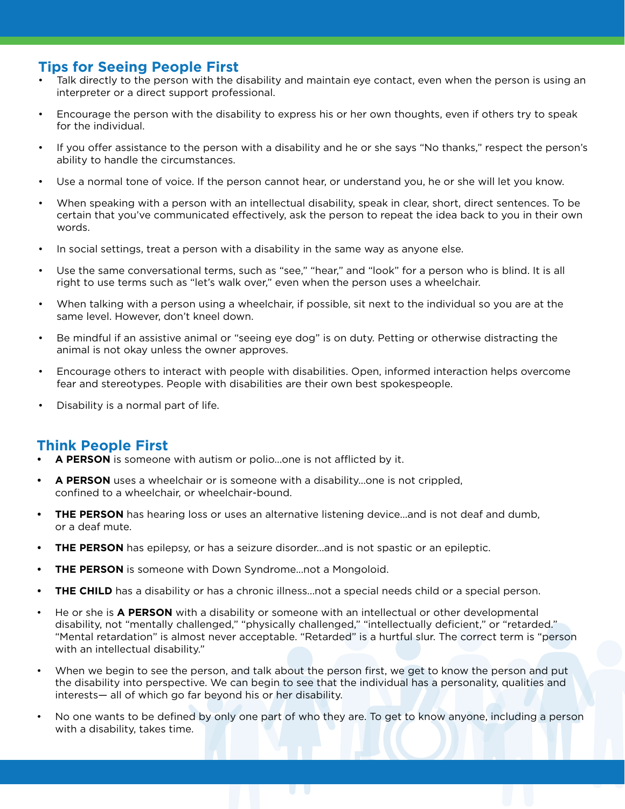### **Tips for Seeing People First**

- Talk directly to the person with the disability and maintain eye contact, even when the person is using an interpreter or a direct support professional.
- Encourage the person with the disability to express his or her own thoughts, even if others try to speak for the individual.
- If you offer assistance to the person with a disability and he or she says "No thanks," respect the person's ability to handle the circumstances.
- Use a normal tone of voice. If the person cannot hear, or understand you, he or she will let you know.
- When speaking with a person with an intellectual disability, speak in clear, short, direct sentences. To be certain that you've communicated effectively, ask the person to repeat the idea back to you in their own words.
- In social settings, treat a person with a disability in the same way as anyone else.
- Use the same conversational terms, such as "see," "hear," and "look" for a person who is blind. It is all right to use terms such as "let's walk over," even when the person uses a wheelchair.
- When talking with a person using a wheelchair, if possible, sit next to the individual so you are at the same level. However, don't kneel down.
- Be mindful if an assistive animal or "seeing eye dog" is on duty. Petting or otherwise distracting the animal is not okay unless the owner approves.
- Encourage others to interact with people with disabilities. Open, informed interaction helps overcome fear and stereotypes. People with disabilities are their own best spokespeople.
- Disability is a normal part of life.

#### **Think People First**

- **• A PERSON** is someone with autism or polio...one is not afflicted by it.
- **• A PERSON** uses a wheelchair or is someone with a disability...one is not crippled, confined to a wheelchair, or wheelchair-bound.
- **• THE PERSON** has hearing loss or uses an alternative listening device...and is not deaf and dumb, or a deaf mute.
- **THE PERSON** has epilepsy, or has a seizure disorder...and is not spastic or an epileptic.
- **THE PERSON** is someone with Down Syndrome...not a Mongoloid.
- **THE CHILD** has a disability or has a chronic illness...not a special needs child or a special person.
- He or she is **A PERSON** with a disability or someone with an intellectual or other developmental disability, not "mentally challenged," "physically challenged," "intellectually deficient," or "retarded." "Mental retardation" is almost never acceptable. "Retarded" is a hurtful slur. The correct term is "person with an intellectual disability."
- When we begin to see the person, and talk about the person first, we get to know the person and put the disability into perspective. We can begin to see that the individual has a personality, qualities and interests— all of which go far beyond his or her disability.
- No one wants to be defined by only one part of who they are. To get to know anyone, including a person with a disability, takes time.